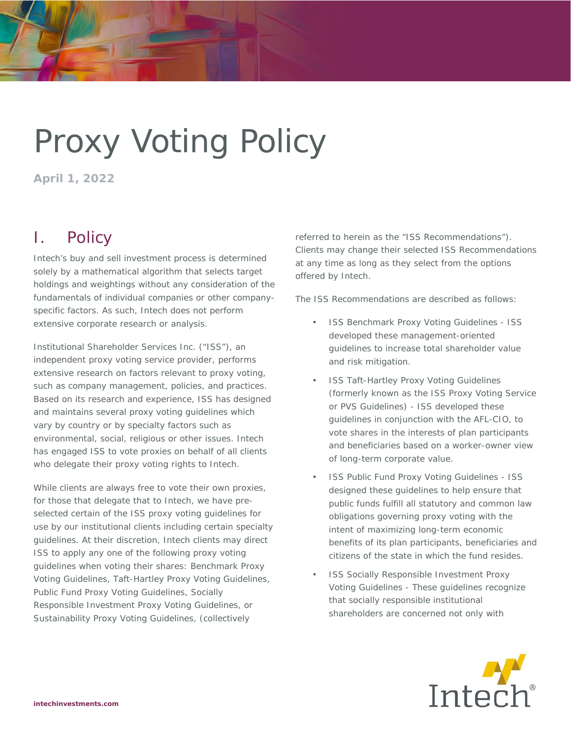# Proxy Voting Policy

**April 1, 2022** 

# I. Policy

Intech's buy and sell investment process is determined solely by a mathematical algorithm that selects target holdings and weightings without any consideration of the fundamentals of individual companies or other companyspecific factors. As such, Intech does not perform extensive corporate research or analysis.

Institutional Shareholder Services Inc. ("ISS"), an independent proxy voting service provider, performs extensive research on factors relevant to proxy voting, such as company management, policies, and practices. Based on its research and experience, ISS has designed and maintains several proxy voting guidelines which vary by country or by specialty factors such as environmental, social, religious or other issues. Intech has engaged ISS to vote proxies on behalf of all clients who delegate their proxy voting rights to Intech.

While clients are always free to vote their own proxies, for those that delegate that to Intech, we have preselected certain of the ISS proxy voting guidelines for use by our institutional clients including certain specialty guidelines. At their discretion, Intech clients may direct ISS to apply any one of the following proxy voting guidelines when voting their shares: Benchmark Proxy Voting Guidelines, Taft-Hartley Proxy Voting Guidelines, Public Fund Proxy Voting Guidelines, Socially Responsible Investment Proxy Voting Guidelines, or Sustainability Proxy Voting Guidelines, (collectively

referred to herein as the "ISS Recommendations"). Clients may change their selected ISS Recommendations at any time as long as they select from the options offered by Intech.

The ISS Recommendations are described as follows:

- ISS Benchmark Proxy Voting Guidelines ISS developed these management-oriented guidelines to increase total shareholder value and risk mitigation.
- **ISS Taft-Hartley Proxy Voting Guidelines** (formerly known as the ISS Proxy Voting Service or PVS Guidelines) - ISS developed these guidelines in conjunction with the AFL-CIO, to vote shares in the interests of plan participants and beneficiaries based on a worker-owner view of long-term corporate value.
- ISS Public Fund Proxy Voting Guidelines ISS designed these guidelines to help ensure that public funds fulfill all statutory and common law obligations governing proxy voting with the intent of maximizing long-term economic benefits of its plan participants, beneficiaries and citizens of the state in which the fund resides.
- ISS Socially Responsible Investment Proxy Voting Guidelines - These guidelines recognize that socially responsible institutional shareholders are concerned not only with

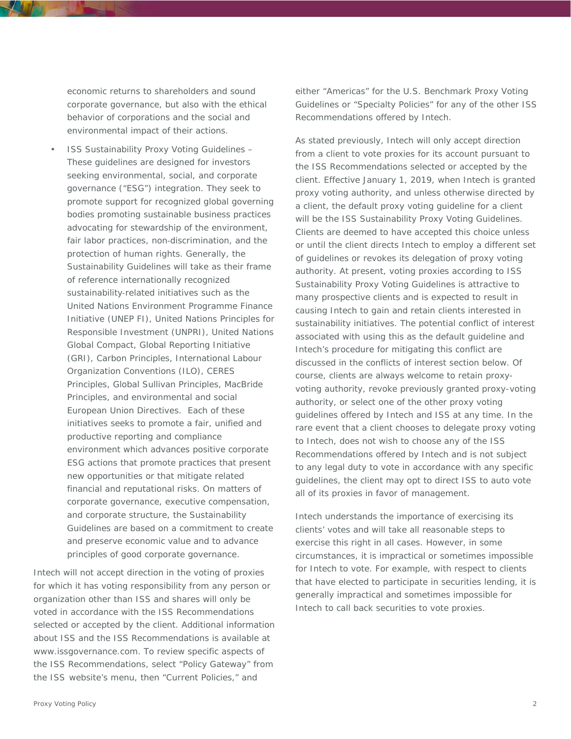economic returns to shareholders and sound corporate governance, but also with the ethical behavior of corporations and the social and environmental impact of their actions.

• ISS Sustainability Proxy Voting Guidelines – These guidelines are designed for investors seeking environmental, social, and corporate governance ("ESG") integration. They seek to promote support for recognized global governing bodies promoting sustainable business practices advocating for stewardship of the environment, fair labor practices, non-discrimination, and the protection of human rights. Generally, the Sustainability Guidelines will take as their frame of reference internationally recognized sustainability-related initiatives such as the United Nations Environment Programme Finance Initiative (UNEP FI), United Nations Principles for Responsible Investment (UNPRI), United Nations Global Compact, Global Reporting Initiative (GRI), Carbon Principles, International Labour Organization Conventions (ILO), CERES Principles, Global Sullivan Principles, MacBride Principles, and environmental and social European Union Directives. Each of these initiatives seeks to promote a fair, unified and productive reporting and compliance environment which advances positive corporate ESG actions that promote practices that present new opportunities or that mitigate related financial and reputational risks. On matters of corporate governance, executive compensation, and corporate structure, the Sustainability Guidelines are based on a commitment to create and preserve economic value and to advance principles of good corporate governance.

Intech will not accept direction in the voting of proxies for which it has voting responsibility from any person or organization other than ISS and shares will only be voted in accordance with the ISS Recommendations selected or accepted by the client. Additional information about ISS and the ISS Recommendations is available at www.issgovernance.com. To review specific aspects of the ISS Recommendations, select "Policy Gateway" from the ISS website's menu, then "Current Policies," and

either "Americas" for the U.S. Benchmark Proxy Voting Guidelines or "Specialty Policies" for any of the other ISS Recommendations offered by Intech.

As stated previously, Intech will only accept direction from a client to vote proxies for its account pursuant to the ISS Recommendations selected or accepted by the client. Effective January 1, 2019, when Intech is granted proxy voting authority, and unless otherwise directed by a client, the default proxy voting guideline for a client will be the ISS Sustainability Proxy Voting Guidelines. Clients are deemed to have accepted this choice unless or until the client directs Intech to employ a different set of guidelines or revokes its delegation of proxy voting authority. At present, voting proxies according to ISS Sustainability Proxy Voting Guidelines is attractive to many prospective clients and is expected to result in causing Intech to gain and retain clients interested in sustainability initiatives. The potential conflict of interest associated with using this as the default guideline and Intech's procedure for mitigating this conflict are discussed in the conflicts of interest section below. Of course, clients are always welcome to retain proxyvoting authority, revoke previously granted proxy-voting authority, or select one of the other proxy voting guidelines offered by Intech and ISS at any time. In the rare event that a client chooses to delegate proxy voting to Intech, does not wish to choose any of the ISS Recommendations offered by Intech and is not subject to any legal duty to vote in accordance with any specific guidelines, the client may opt to direct ISS to auto vote all of its proxies in favor of management.

Intech understands the importance of exercising its clients' votes and will take all reasonable steps to exercise this right in all cases. However, in some circumstances, it is impractical or sometimes impossible for Intech to vote. For example, with respect to clients that have elected to participate in securities lending, it is generally impractical and sometimes impossible for Intech to call back securities to vote proxies.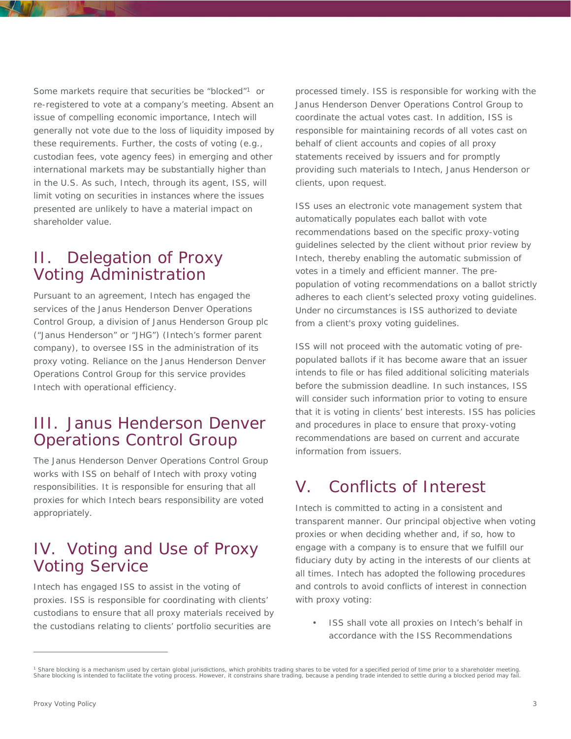Some markets require that securities be "blocked"1 or re-registered to vote at a company's meeting. Absent an issue of compelling economic importance, Intech will generally not vote due to the loss of liquidity imposed by these requirements. Further, the costs of voting (e.g., custodian fees, vote agency fees) in emerging and other international markets may be substantially higher than in the U.S. As such, Intech, through its agent, ISS, will limit voting on securities in instances where the issues presented are unlikely to have a material impact on shareholder value.

#### II. Delegation of Proxy Voting Administration

Pursuant to an agreement, Intech has engaged the services of the Janus Henderson Denver Operations Control Group, a division of Janus Henderson Group plc ("Janus Henderson" or "JHG") (Intech's former parent company), to oversee ISS in the administration of its proxy voting. Reliance on the Janus Henderson Denver Operations Control Group for this service provides Intech with operational efficiency.

#### III. Janus Henderson Denver Operations Control Group

The Janus Henderson Denver Operations Control Group works with ISS on behalf of Intech with proxy voting responsibilities. It is responsible for ensuring that all proxies for which Intech bears responsibility are voted appropriately.

#### IV. Voting and Use of Proxy Voting Service

Intech has engaged ISS to assist in the voting of proxies. ISS is responsible for coordinating with clients' custodians to ensure that all proxy materials received by the custodians relating to clients' portfolio securities are

processed timely. ISS is responsible for working with the Janus Henderson Denver Operations Control Group to coordinate the actual votes cast. In addition, ISS is responsible for maintaining records of all votes cast on behalf of client accounts and copies of all proxy statements received by issuers and for promptly providing such materials to Intech, Janus Henderson or clients, upon request.

ISS uses an electronic vote management system that automatically populates each ballot with vote recommendations based on the specific proxy-voting guidelines selected by the client without prior review by Intech, thereby enabling the automatic submission of votes in a timely and efficient manner. The prepopulation of voting recommendations on a ballot strictly adheres to each client's selected proxy voting guidelines. Under no circumstances is ISS authorized to deviate from a client's proxy voting guidelines.

ISS will not proceed with the automatic voting of prepopulated ballots if it has become aware that an issuer intends to file or has filed additional soliciting materials before the submission deadline. In such instances, ISS will consider such information prior to voting to ensure that it is voting in clients' best interests. ISS has policies and procedures in place to ensure that proxy-voting recommendations are based on current and accurate information from issuers.

## V. Conflicts of Interest

Intech is committed to acting in a consistent and transparent manner. Our principal objective when voting proxies or when deciding whether and, if so, how to engage with a company is to ensure that we fulfill our fiduciary duty by acting in the interests of our clients at all times. Intech has adopted the following procedures and controls to avoid conflicts of interest in connection with proxy voting:

• ISS shall vote all proxies on Intech's behalf in accordance with the ISS Recommendations

 $\overline{a}$ 

<sup>&</sup>lt;sup>1</sup> Share blocking is a mechanism used by certain global jurisdictions, which prohibits trading shares to be voted for a specified period of time prior to a shareholder meeting.<br>Share blocking is intended to facilitate the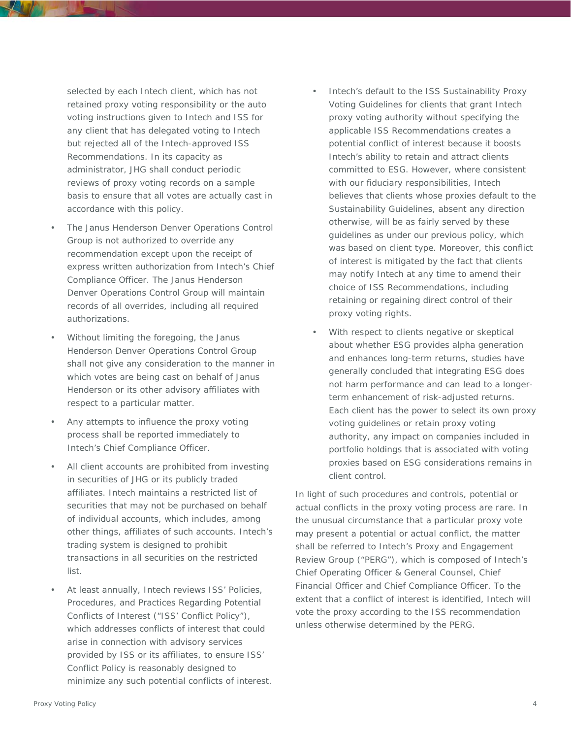selected by each Intech client, which has not retained proxy voting responsibility or the auto voting instructions given to Intech and ISS for any client that has delegated voting to Intech but rejected all of the Intech-approved ISS Recommendations. In its capacity as administrator, JHG shall conduct periodic reviews of proxy voting records on a sample basis to ensure that all votes are actually cast in accordance with this policy.

- The Janus Henderson Denver Operations Control Group is not authorized to override any recommendation except upon the receipt of express written authorization from Intech's Chief Compliance Officer. The Janus Henderson Denver Operations Control Group will maintain records of all overrides, including all required authorizations.
- Without limiting the foregoing, the Janus Henderson Denver Operations Control Group shall not give any consideration to the manner in which votes are being cast on behalf of Janus Henderson or its other advisory affiliates with respect to a particular matter.
- Any attempts to influence the proxy voting process shall be reported immediately to Intech's Chief Compliance Officer.
- All client accounts are prohibited from investing in securities of JHG or its publicly traded affiliates. Intech maintains a restricted list of securities that may not be purchased on behalf of individual accounts, which includes, among other things, affiliates of such accounts. Intech's trading system is designed to prohibit transactions in all securities on the restricted list.
- At least annually, Intech reviews ISS' Policies, Procedures, and Practices Regarding Potential Conflicts of Interest ("ISS' Conflict Policy"), which addresses conflicts of interest that could arise in connection with advisory services provided by ISS or its affiliates, to ensure ISS' Conflict Policy is reasonably designed to minimize any such potential conflicts of interest.
- Intech's default to the ISS Sustainability Proxy Voting Guidelines for clients that grant Intech proxy voting authority without specifying the applicable ISS Recommendations creates a potential conflict of interest because it boosts Intech's ability to retain and attract clients committed to ESG. However, where consistent with our fiduciary responsibilities, Intech believes that clients whose proxies default to the Sustainability Guidelines, absent any direction otherwise, will be as fairly served by these guidelines as under our previous policy, which was based on client type. Moreover, this conflict of interest is mitigated by the fact that clients may notify Intech at any time to amend their choice of ISS Recommendations, including retaining or regaining direct control of their proxy voting rights.
- With respect to clients negative or skeptical about whether ESG provides alpha generation and enhances long-term returns, studies have generally concluded that integrating ESG does not harm performance and can lead to a longerterm enhancement of risk-adjusted returns. Each client has the power to select its own proxy voting guidelines or retain proxy voting authority, any impact on companies included in portfolio holdings that is associated with voting proxies based on ESG considerations remains in client control.

In light of such procedures and controls, potential or actual conflicts in the proxy voting process are rare. In the unusual circumstance that a particular proxy vote may present a potential or actual conflict, the matter shall be referred to Intech's Proxy and Engagement Review Group ("PERG"), which is composed of Intech's Chief Operating Officer & General Counsel, Chief Financial Officer and Chief Compliance Officer. To the extent that a conflict of interest is identified, Intech will vote the proxy according to the ISS recommendation unless otherwise determined by the PERG.